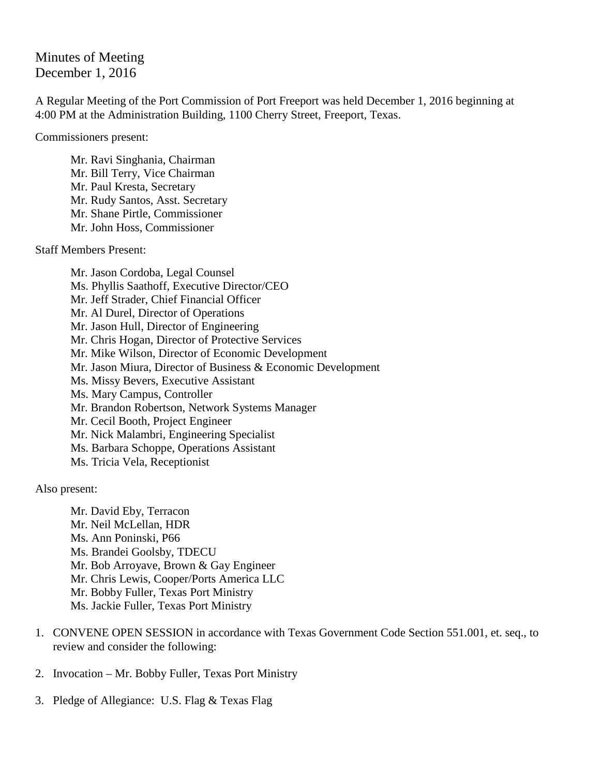Minutes of Meeting December 1, 2016

A Regular Meeting of the Port Commission of Port Freeport was held December 1, 2016 beginning at 4:00 PM at the Administration Building, 1100 Cherry Street, Freeport, Texas.

Commissioners present:

Mr. Ravi Singhania, Chairman Mr. Bill Terry, Vice Chairman Mr. Paul Kresta, Secretary Mr. Rudy Santos, Asst. Secretary Mr. Shane Pirtle, Commissioner Mr. John Hoss, Commissioner

Staff Members Present:

Mr. Jason Cordoba, Legal Counsel Ms. Phyllis Saathoff, Executive Director/CEO Mr. Jeff Strader, Chief Financial Officer Mr. Al Durel, Director of Operations Mr. Jason Hull, Director of Engineering Mr. Chris Hogan, Director of Protective Services Mr. Mike Wilson, Director of Economic Development Mr. Jason Miura, Director of Business & Economic Development Ms. Missy Bevers, Executive Assistant Ms. Mary Campus, Controller Mr. Brandon Robertson, Network Systems Manager Mr. Cecil Booth, Project Engineer Mr. Nick Malambri, Engineering Specialist Ms. Barbara Schoppe, Operations Assistant Ms. Tricia Vela, Receptionist

Also present:

Mr. David Eby, Terracon Mr. Neil McLellan, HDR Ms. Ann Poninski, P66 Ms. Brandei Goolsby, TDECU Mr. Bob Arroyave, Brown & Gay Engineer Mr. Chris Lewis, Cooper/Ports America LLC Mr. Bobby Fuller, Texas Port Ministry Ms. Jackie Fuller, Texas Port Ministry

- 1. CONVENE OPEN SESSION in accordance with Texas Government Code Section 551.001, et. seq., to review and consider the following:
- 2. Invocation Mr. Bobby Fuller, Texas Port Ministry
- 3. Pledge of Allegiance: U.S. Flag & Texas Flag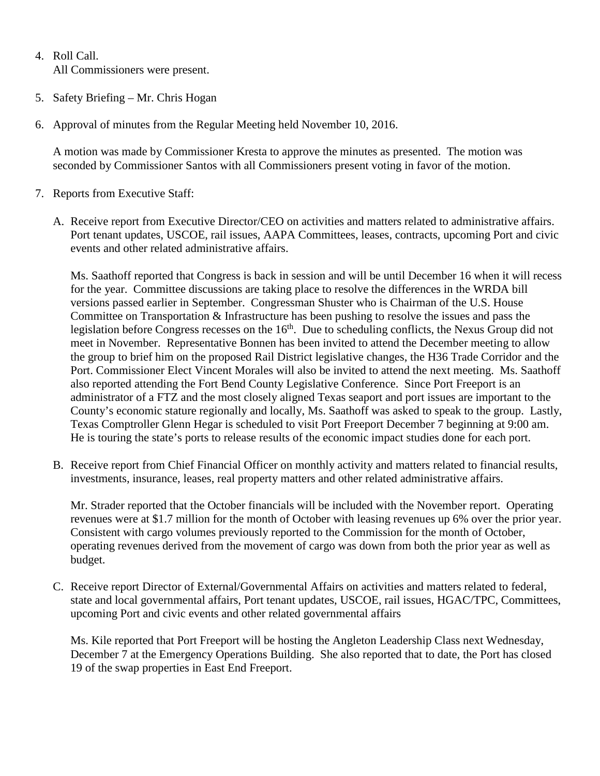- 4. Roll Call. All Commissioners were present.
- 5. Safety Briefing Mr. Chris Hogan
- 6. Approval of minutes from the Regular Meeting held November 10, 2016.

A motion was made by Commissioner Kresta to approve the minutes as presented. The motion was seconded by Commissioner Santos with all Commissioners present voting in favor of the motion.

- 7. Reports from Executive Staff:
	- A. Receive report from Executive Director/CEO on activities and matters related to administrative affairs. Port tenant updates, USCOE, rail issues, AAPA Committees, leases, contracts, upcoming Port and civic events and other related administrative affairs.

Ms. Saathoff reported that Congress is back in session and will be until December 16 when it will recess for the year. Committee discussions are taking place to resolve the differences in the WRDA bill versions passed earlier in September. Congressman Shuster who is Chairman of the U.S. House Committee on Transportation & Infrastructure has been pushing to resolve the issues and pass the legislation before Congress recesses on the 16<sup>th</sup>. Due to scheduling conflicts, the Nexus Group did not meet in November. Representative Bonnen has been invited to attend the December meeting to allow the group to brief him on the proposed Rail District legislative changes, the H36 Trade Corridor and the Port. Commissioner Elect Vincent Morales will also be invited to attend the next meeting. Ms. Saathoff also reported attending the Fort Bend County Legislative Conference. Since Port Freeport is an administrator of a FTZ and the most closely aligned Texas seaport and port issues are important to the County's economic stature regionally and locally, Ms. Saathoff was asked to speak to the group. Lastly, Texas Comptroller Glenn Hegar is scheduled to visit Port Freeport December 7 beginning at 9:00 am. He is touring the state's ports to release results of the economic impact studies done for each port.

B. Receive report from Chief Financial Officer on monthly activity and matters related to financial results, investments, insurance, leases, real property matters and other related administrative affairs.

Mr. Strader reported that the October financials will be included with the November report. Operating revenues were at \$1.7 million for the month of October with leasing revenues up 6% over the prior year. Consistent with cargo volumes previously reported to the Commission for the month of October, operating revenues derived from the movement of cargo was down from both the prior year as well as budget.

C. Receive report Director of External/Governmental Affairs on activities and matters related to federal, state and local governmental affairs, Port tenant updates, USCOE, rail issues, HGAC/TPC, Committees, upcoming Port and civic events and other related governmental affairs

Ms. Kile reported that Port Freeport will be hosting the Angleton Leadership Class next Wednesday, December 7 at the Emergency Operations Building. She also reported that to date, the Port has closed 19 of the swap properties in East End Freeport.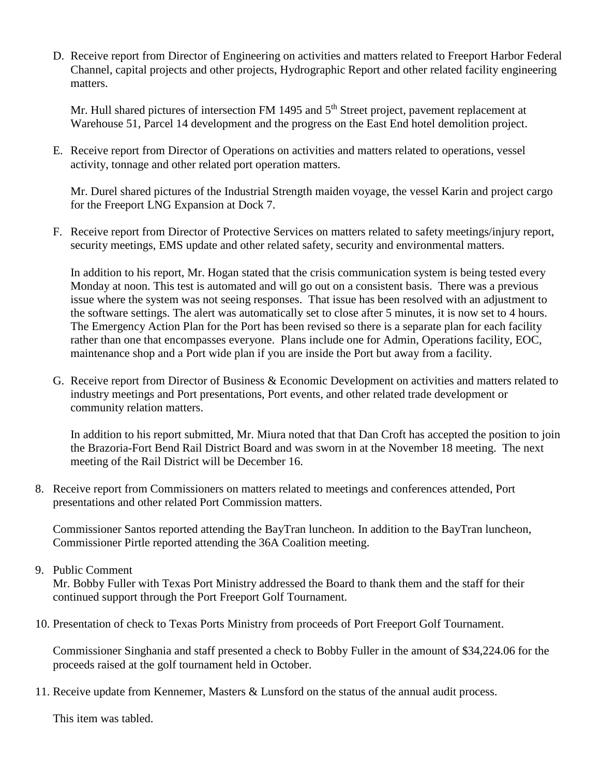D. Receive report from Director of Engineering on activities and matters related to Freeport Harbor Federal Channel, capital projects and other projects, Hydrographic Report and other related facility engineering matters.

Mr. Hull shared pictures of intersection FM 1495 and 5<sup>th</sup> Street project, pavement replacement at Warehouse 51, Parcel 14 development and the progress on the East End hotel demolition project.

E. Receive report from Director of Operations on activities and matters related to operations, vessel activity, tonnage and other related port operation matters.

Mr. Durel shared pictures of the Industrial Strength maiden voyage, the vessel Karin and project cargo for the Freeport LNG Expansion at Dock 7.

F. Receive report from Director of Protective Services on matters related to safety meetings/injury report, security meetings, EMS update and other related safety, security and environmental matters.

In addition to his report, Mr. Hogan stated that the crisis communication system is being tested every Monday at noon. This test is automated and will go out on a consistent basis. There was a previous issue where the system was not seeing responses. That issue has been resolved with an adjustment to the software settings. The alert was automatically set to close after 5 minutes, it is now set to 4 hours. The Emergency Action Plan for the Port has been revised so there is a separate plan for each facility rather than one that encompasses everyone. Plans include one for Admin, Operations facility, EOC, maintenance shop and a Port wide plan if you are inside the Port but away from a facility.

G. Receive report from Director of Business & Economic Development on activities and matters related to industry meetings and Port presentations, Port events, and other related trade development or community relation matters.

In addition to his report submitted, Mr. Miura noted that that Dan Croft has accepted the position to join the Brazoria-Fort Bend Rail District Board and was sworn in at the November 18 meeting. The next meeting of the Rail District will be December 16.

8. Receive report from Commissioners on matters related to meetings and conferences attended, Port presentations and other related Port Commission matters.

Commissioner Santos reported attending the BayTran luncheon. In addition to the BayTran luncheon, Commissioner Pirtle reported attending the 36A Coalition meeting.

9. Public Comment

Mr. Bobby Fuller with Texas Port Ministry addressed the Board to thank them and the staff for their continued support through the Port Freeport Golf Tournament.

10. Presentation of check to Texas Ports Ministry from proceeds of Port Freeport Golf Tournament.

Commissioner Singhania and staff presented a check to Bobby Fuller in the amount of \$34,224.06 for the proceeds raised at the golf tournament held in October.

11. Receive update from Kennemer, Masters & Lunsford on the status of the annual audit process.

This item was tabled.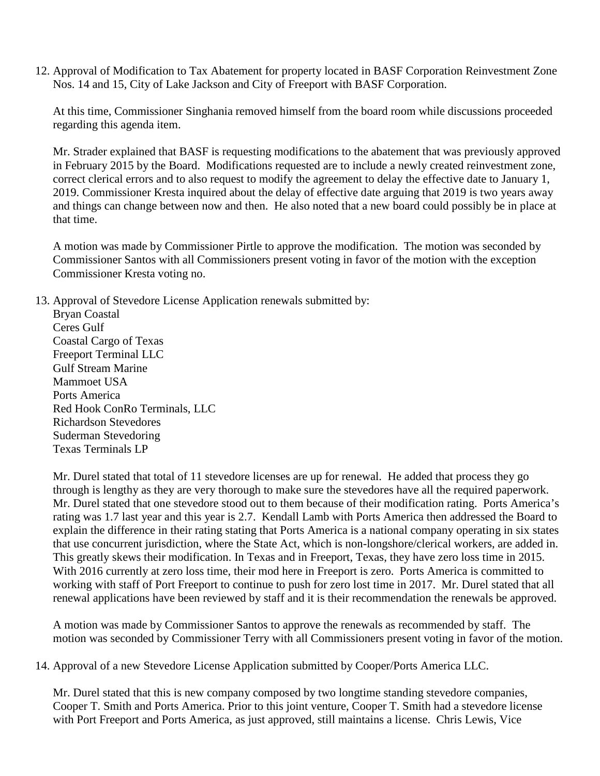12. Approval of Modification to Tax Abatement for property located in BASF Corporation Reinvestment Zone Nos. 14 and 15, City of Lake Jackson and City of Freeport with BASF Corporation.

At this time, Commissioner Singhania removed himself from the board room while discussions proceeded regarding this agenda item.

Mr. Strader explained that BASF is requesting modifications to the abatement that was previously approved in February 2015 by the Board. Modifications requested are to include a newly created reinvestment zone, correct clerical errors and to also request to modify the agreement to delay the effective date to January 1, 2019. Commissioner Kresta inquired about the delay of effective date arguing that 2019 is two years away and things can change between now and then. He also noted that a new board could possibly be in place at that time.

A motion was made by Commissioner Pirtle to approve the modification. The motion was seconded by Commissioner Santos with all Commissioners present voting in favor of the motion with the exception Commissioner Kresta voting no.

13. Approval of Stevedore License Application renewals submitted by:

Bryan Coastal Ceres Gulf Coastal Cargo of Texas Freeport Terminal LLC Gulf Stream Marine Mammoet USA Ports America Red Hook ConRo Terminals, LLC Richardson Stevedores Suderman Stevedoring Texas Terminals LP

Mr. Durel stated that total of 11 stevedore licenses are up for renewal. He added that process they go through is lengthy as they are very thorough to make sure the stevedores have all the required paperwork. Mr. Durel stated that one stevedore stood out to them because of their modification rating. Ports America's rating was 1.7 last year and this year is 2.7. Kendall Lamb with Ports America then addressed the Board to explain the difference in their rating stating that Ports America is a national company operating in six states that use concurrent jurisdiction, where the State Act, which is non-longshore/clerical workers, are added in. This greatly skews their modification. In Texas and in Freeport, Texas, they have zero loss time in 2015. With 2016 currently at zero loss time, their mod here in Freeport is zero. Ports America is committed to working with staff of Port Freeport to continue to push for zero lost time in 2017. Mr. Durel stated that all renewal applications have been reviewed by staff and it is their recommendation the renewals be approved.

A motion was made by Commissioner Santos to approve the renewals as recommended by staff. The motion was seconded by Commissioner Terry with all Commissioners present voting in favor of the motion.

14. Approval of a new Stevedore License Application submitted by Cooper/Ports America LLC.

Mr. Durel stated that this is new company composed by two longtime standing stevedore companies, Cooper T. Smith and Ports America. Prior to this joint venture, Cooper T. Smith had a stevedore license with Port Freeport and Ports America, as just approved, still maintains a license. Chris Lewis, Vice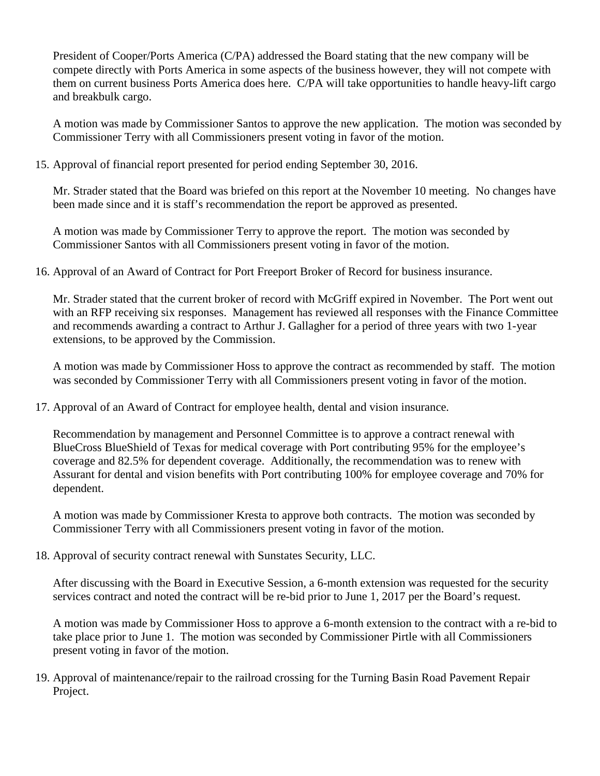President of Cooper/Ports America (C/PA) addressed the Board stating that the new company will be compete directly with Ports America in some aspects of the business however, they will not compete with them on current business Ports America does here. C/PA will take opportunities to handle heavy-lift cargo and breakbulk cargo.

A motion was made by Commissioner Santos to approve the new application. The motion was seconded by Commissioner Terry with all Commissioners present voting in favor of the motion.

15. Approval of financial report presented for period ending September 30, 2016.

Mr. Strader stated that the Board was briefed on this report at the November 10 meeting. No changes have been made since and it is staff's recommendation the report be approved as presented.

A motion was made by Commissioner Terry to approve the report. The motion was seconded by Commissioner Santos with all Commissioners present voting in favor of the motion.

16. Approval of an Award of Contract for Port Freeport Broker of Record for business insurance.

Mr. Strader stated that the current broker of record with McGriff expired in November. The Port went out with an RFP receiving six responses. Management has reviewed all responses with the Finance Committee and recommends awarding a contract to Arthur J. Gallagher for a period of three years with two 1-year extensions, to be approved by the Commission.

A motion was made by Commissioner Hoss to approve the contract as recommended by staff. The motion was seconded by Commissioner Terry with all Commissioners present voting in favor of the motion.

17. Approval of an Award of Contract for employee health, dental and vision insurance.

Recommendation by management and Personnel Committee is to approve a contract renewal with BlueCross BlueShield of Texas for medical coverage with Port contributing 95% for the employee's coverage and 82.5% for dependent coverage. Additionally, the recommendation was to renew with Assurant for dental and vision benefits with Port contributing 100% for employee coverage and 70% for dependent.

A motion was made by Commissioner Kresta to approve both contracts. The motion was seconded by Commissioner Terry with all Commissioners present voting in favor of the motion.

18. Approval of security contract renewal with Sunstates Security, LLC.

After discussing with the Board in Executive Session, a 6-month extension was requested for the security services contract and noted the contract will be re-bid prior to June 1, 2017 per the Board's request.

A motion was made by Commissioner Hoss to approve a 6-month extension to the contract with a re-bid to take place prior to June 1. The motion was seconded by Commissioner Pirtle with all Commissioners present voting in favor of the motion.

19. Approval of maintenance/repair to the railroad crossing for the Turning Basin Road Pavement Repair Project.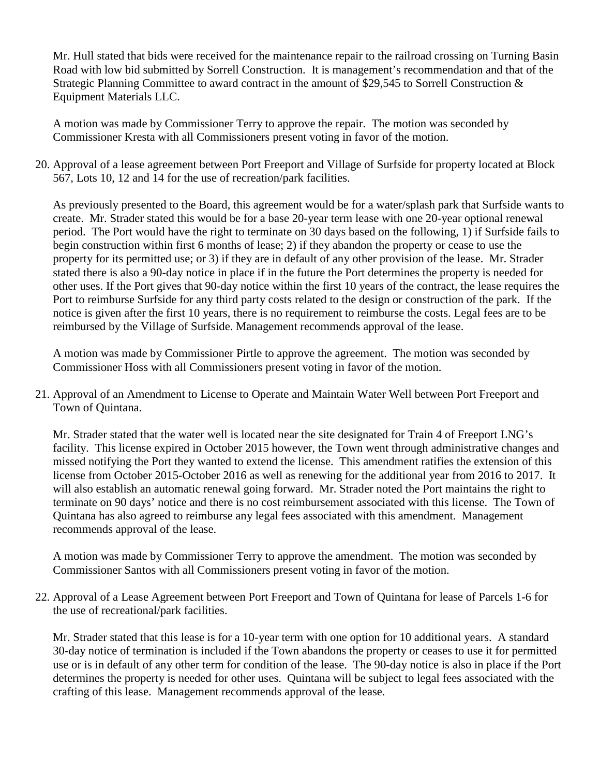Mr. Hull stated that bids were received for the maintenance repair to the railroad crossing on Turning Basin Road with low bid submitted by Sorrell Construction. It is management's recommendation and that of the Strategic Planning Committee to award contract in the amount of \$29,545 to Sorrell Construction & Equipment Materials LLC.

A motion was made by Commissioner Terry to approve the repair. The motion was seconded by Commissioner Kresta with all Commissioners present voting in favor of the motion.

20. Approval of a lease agreement between Port Freeport and Village of Surfside for property located at Block 567, Lots 10, 12 and 14 for the use of recreation/park facilities.

As previously presented to the Board, this agreement would be for a water/splash park that Surfside wants to create. Mr. Strader stated this would be for a base 20-year term lease with one 20-year optional renewal period. The Port would have the right to terminate on 30 days based on the following, 1) if Surfside fails to begin construction within first 6 months of lease; 2) if they abandon the property or cease to use the property for its permitted use; or 3) if they are in default of any other provision of the lease. Mr. Strader stated there is also a 90-day notice in place if in the future the Port determines the property is needed for other uses. If the Port gives that 90-day notice within the first 10 years of the contract, the lease requires the Port to reimburse Surfside for any third party costs related to the design or construction of the park. If the notice is given after the first 10 years, there is no requirement to reimburse the costs. Legal fees are to be reimbursed by the Village of Surfside. Management recommends approval of the lease.

A motion was made by Commissioner Pirtle to approve the agreement. The motion was seconded by Commissioner Hoss with all Commissioners present voting in favor of the motion.

21. Approval of an Amendment to License to Operate and Maintain Water Well between Port Freeport and Town of Quintana.

Mr. Strader stated that the water well is located near the site designated for Train 4 of Freeport LNG's facility. This license expired in October 2015 however, the Town went through administrative changes and missed notifying the Port they wanted to extend the license. This amendment ratifies the extension of this license from October 2015-October 2016 as well as renewing for the additional year from 2016 to 2017. It will also establish an automatic renewal going forward. Mr. Strader noted the Port maintains the right to terminate on 90 days' notice and there is no cost reimbursement associated with this license. The Town of Quintana has also agreed to reimburse any legal fees associated with this amendment. Management recommends approval of the lease.

A motion was made by Commissioner Terry to approve the amendment. The motion was seconded by Commissioner Santos with all Commissioners present voting in favor of the motion.

22. Approval of a Lease Agreement between Port Freeport and Town of Quintana for lease of Parcels 1-6 for the use of recreational/park facilities.

Mr. Strader stated that this lease is for a 10-year term with one option for 10 additional years. A standard 30-day notice of termination is included if the Town abandons the property or ceases to use it for permitted use or is in default of any other term for condition of the lease. The 90-day notice is also in place if the Port determines the property is needed for other uses. Quintana will be subject to legal fees associated with the crafting of this lease. Management recommends approval of the lease.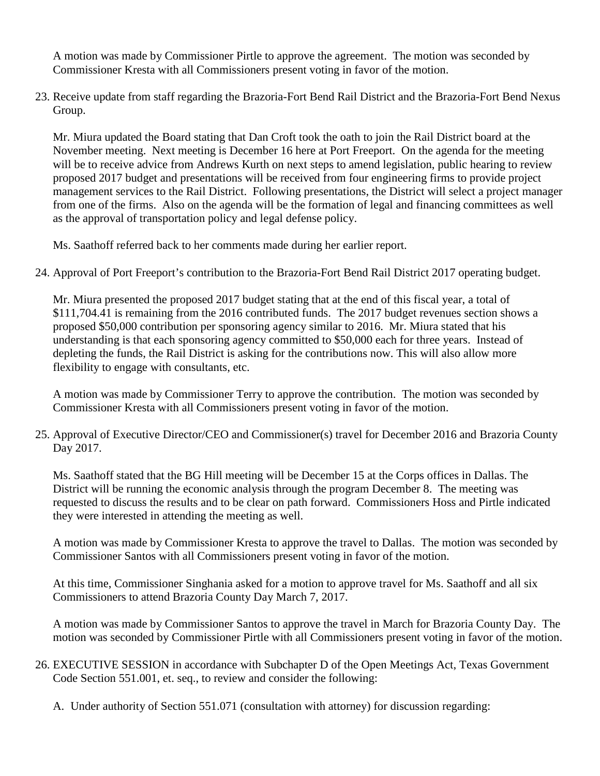A motion was made by Commissioner Pirtle to approve the agreement. The motion was seconded by Commissioner Kresta with all Commissioners present voting in favor of the motion.

23. Receive update from staff regarding the Brazoria-Fort Bend Rail District and the Brazoria-Fort Bend Nexus Group.

Mr. Miura updated the Board stating that Dan Croft took the oath to join the Rail District board at the November meeting. Next meeting is December 16 here at Port Freeport. On the agenda for the meeting will be to receive advice from Andrews Kurth on next steps to amend legislation, public hearing to review proposed 2017 budget and presentations will be received from four engineering firms to provide project management services to the Rail District. Following presentations, the District will select a project manager from one of the firms. Also on the agenda will be the formation of legal and financing committees as well as the approval of transportation policy and legal defense policy.

Ms. Saathoff referred back to her comments made during her earlier report.

24. Approval of Port Freeport's contribution to the Brazoria-Fort Bend Rail District 2017 operating budget.

Mr. Miura presented the proposed 2017 budget stating that at the end of this fiscal year, a total of \$111,704.41 is remaining from the 2016 contributed funds. The 2017 budget revenues section shows a proposed \$50,000 contribution per sponsoring agency similar to 2016. Mr. Miura stated that his understanding is that each sponsoring agency committed to \$50,000 each for three years. Instead of depleting the funds, the Rail District is asking for the contributions now. This will also allow more flexibility to engage with consultants, etc.

A motion was made by Commissioner Terry to approve the contribution. The motion was seconded by Commissioner Kresta with all Commissioners present voting in favor of the motion.

25. Approval of Executive Director/CEO and Commissioner(s) travel for December 2016 and Brazoria County Day 2017.

Ms. Saathoff stated that the BG Hill meeting will be December 15 at the Corps offices in Dallas. The District will be running the economic analysis through the program December 8. The meeting was requested to discuss the results and to be clear on path forward. Commissioners Hoss and Pirtle indicated they were interested in attending the meeting as well.

A motion was made by Commissioner Kresta to approve the travel to Dallas. The motion was seconded by Commissioner Santos with all Commissioners present voting in favor of the motion.

At this time, Commissioner Singhania asked for a motion to approve travel for Ms. Saathoff and all six Commissioners to attend Brazoria County Day March 7, 2017.

A motion was made by Commissioner Santos to approve the travel in March for Brazoria County Day. The motion was seconded by Commissioner Pirtle with all Commissioners present voting in favor of the motion.

- 26. EXECUTIVE SESSION in accordance with Subchapter D of the Open Meetings Act, Texas Government Code Section 551.001, et. seq., to review and consider the following:
	- A. Under authority of Section 551.071 (consultation with attorney) for discussion regarding: